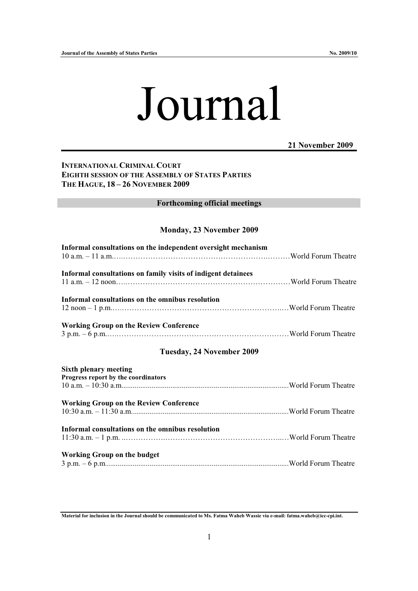# Journal

# **21 November 2009**

# **INTERNATIONAL CRIMINAL COURT EIGHTH SESSION OF THE ASSEMBLY OF STATES PARTIES THE HAGUE, 18 – 26 NOVEMBER 2009**

### **Forthcoming official meetings**

## **Monday, 23 November 2009**

| Informal consultations on the independent oversight mechanism       |  |
|---------------------------------------------------------------------|--|
| Informal consultations on family visits of indigent detainees       |  |
| Informal consultations on the omnibus resolution                    |  |
| <b>Working Group on the Review Conference</b>                       |  |
| Tuesday, 24 November 2009                                           |  |
| <b>Sixth plenary meeting</b><br>Progress report by the coordinators |  |
| <b>Working Group on the Review Conference</b>                       |  |
| Informal consultations on the omnibus resolution                    |  |
| <b>Working Group on the budget</b>                                  |  |

**Material for inclusion in the Journal should be communicated to Ms. Fatma Waheb Wassie via e-mail: fatma.waheb@icc-cpi.int.**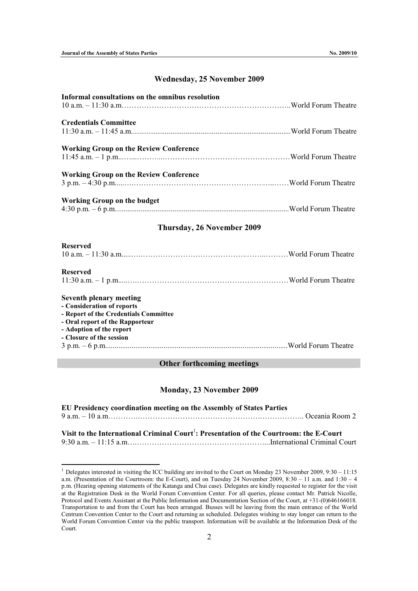l

## **Wednesday, 25 November 2009**

| Informal consultations on the omnibus resolution                                                                                                                                                 |  |
|--------------------------------------------------------------------------------------------------------------------------------------------------------------------------------------------------|--|
| <b>Credentials Committee</b>                                                                                                                                                                     |  |
| <b>Working Group on the Review Conference</b>                                                                                                                                                    |  |
| <b>Working Group on the Review Conference</b>                                                                                                                                                    |  |
| <b>Working Group on the budget</b>                                                                                                                                                               |  |
| Thursday, 26 November 2009                                                                                                                                                                       |  |
| <b>Reserved</b>                                                                                                                                                                                  |  |
| <b>Reserved</b>                                                                                                                                                                                  |  |
| <b>Seventh plenary meeting</b><br>- Consideration of reports<br>- Report of the Credentials Committee<br>- Oral report of the Rapporteur<br>- Adoption of the report<br>- Closure of the session |  |

#### 3 p.m. – 6 p.m.................................................................................................World Forum Theatre

#### **Other forthcoming meetings**

#### **Monday, 23 November 2009**

| EU Presidency coordination meeting on the Assembly of States Parties                                |                                                                                                                                                                                                                                                                                                                                           |
|-----------------------------------------------------------------------------------------------------|-------------------------------------------------------------------------------------------------------------------------------------------------------------------------------------------------------------------------------------------------------------------------------------------------------------------------------------------|
|                                                                                                     |                                                                                                                                                                                                                                                                                                                                           |
| Visit to the International Criminal Court <sup>1</sup> : Presentation of the Courtroom: the E-Court |                                                                                                                                                                                                                                                                                                                                           |
| $0.20$ $11.17$                                                                                      | $\mathbf{r}$ , $\mathbf{r}$ , $\mathbf{r}$ , $\mathbf{r}$ , $\mathbf{r}$ , $\mathbf{r}$ , $\mathbf{r}$ , $\mathbf{r}$ , $\mathbf{r}$ , $\mathbf{r}$ , $\mathbf{r}$ , $\mathbf{r}$ , $\mathbf{r}$ , $\mathbf{r}$ , $\mathbf{r}$ , $\mathbf{r}$ , $\mathbf{r}$ , $\mathbf{r}$ , $\mathbf{r}$ , $\mathbf{r}$ , $\mathbf{r}$ , $\mathbf{r}$ , |

<sup>9:30</sup> a.m. – 11:15 a.m….……………………………………………...International Criminal Court

<sup>&</sup>lt;sup>1</sup> Delegates interested in visiting the ICC building are invited to the Court on Monday 23 November 2009,  $9:30 - 11:15$ a.m. (Presentation of the Courtroom: the E-Court), and on Tuesday 24 November 2009, 8:30 – 11 a.m. and 1:30 – 4 p.m. (Hearing opening statements of the Katanga and Chui case). Delegates are kindly requested to register for the visit at the Registration Desk in the World Forum Convention Center. For all queries, please contact Mr. Patrick Nicolle, Protocol and Events Assistant at the Public Information and Documentation Section of the Court, at +31-(0)646166018. Transportation to and from the Court has been arranged. Busses will be leaving from the main entrance of the World Centrum Convention Center to the Court and returning as scheduled. Delegates wishing to stay longer can return to the World Forum Convention Center via the public transport. Information will be available at the Information Desk of the Court.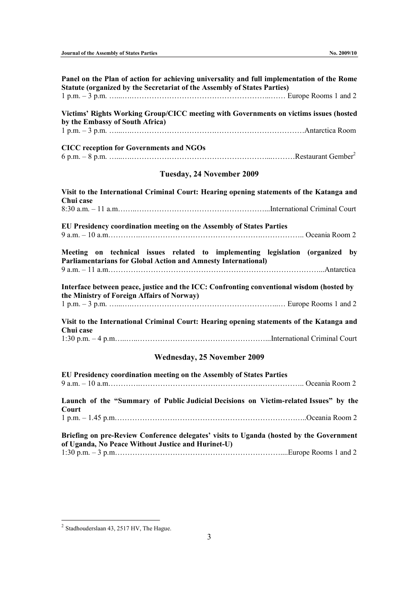| Panel on the Plan of action for achieving universality and full implementation of the Rome<br>Statute (organized by the Secretariat of the Assembly of States Parties)                                                                                                                                                                                                                                                                  |  |  |
|-----------------------------------------------------------------------------------------------------------------------------------------------------------------------------------------------------------------------------------------------------------------------------------------------------------------------------------------------------------------------------------------------------------------------------------------|--|--|
| Victims' Rights Working Group/CICC meeting with Governments on victims issues (hosted<br>by the Embassy of South Africa)                                                                                                                                                                                                                                                                                                                |  |  |
|                                                                                                                                                                                                                                                                                                                                                                                                                                         |  |  |
| <b>CICC</b> reception for Governments and NGOs                                                                                                                                                                                                                                                                                                                                                                                          |  |  |
| Tuesday, 24 November 2009                                                                                                                                                                                                                                                                                                                                                                                                               |  |  |
| Visit to the International Criminal Court: Hearing opening statements of the Katanga and<br>Chui case                                                                                                                                                                                                                                                                                                                                   |  |  |
|                                                                                                                                                                                                                                                                                                                                                                                                                                         |  |  |
| EU Presidency coordination meeting on the Assembly of States Parties                                                                                                                                                                                                                                                                                                                                                                    |  |  |
| Meeting on technical issues related to implementing legislation (organized by<br><b>Parliamentarians for Global Action and Amnesty International)</b>                                                                                                                                                                                                                                                                                   |  |  |
| Interface between peace, justice and the ICC: Confronting conventional wisdom (hosted by<br>the Ministry of Foreign Affairs of Norway)                                                                                                                                                                                                                                                                                                  |  |  |
|                                                                                                                                                                                                                                                                                                                                                                                                                                         |  |  |
| Visit to the International Criminal Court: Hearing opening statements of the Katanga and<br>Chui case                                                                                                                                                                                                                                                                                                                                   |  |  |
|                                                                                                                                                                                                                                                                                                                                                                                                                                         |  |  |
| <b>Wednesday, 25 November 2009</b>                                                                                                                                                                                                                                                                                                                                                                                                      |  |  |
| EU Presidency coordination meeting on the Assembly of States Parties                                                                                                                                                                                                                                                                                                                                                                    |  |  |
| Launch of the "Summary of Public Judicial Decisions on Victim-related Issues" by the<br>Court<br>$1 p.m. - 1.45 p.m.$ $\ldots$ $\ldots$ $\ldots$ $\ldots$ $\ldots$ $\ldots$ $\ldots$ $\ldots$ $\ldots$ $\ldots$ $\ldots$ $\ldots$ $\ldots$ $\ldots$ $\ldots$ $\ldots$ $\ldots$ $\ldots$ $\ldots$ $\ldots$ $\ldots$ $\ldots$ $\ldots$ $\ldots$ $\ldots$ $\ldots$ $\ldots$ $\ldots$ $\ldots$ $\ldots$ $\ldots$ $\ldots$ $\ldots$ $\ldots$ |  |  |
|                                                                                                                                                                                                                                                                                                                                                                                                                                         |  |  |

**Briefing on pre-Review Conference delegates' visits to Uganda (hosted by the Government of Uganda, No Peace Without Justice and Hurinet-U)**  1:30 p.m.  $-3$  p.m.  $\ldots$   $\ldots$   $\ldots$   $\ldots$   $\ldots$   $\ldots$   $\ldots$   $\ldots$   $\ldots$   $\ldots$   $\ldots$   $\ldots$   $\ldots$   $\ldots$   $\ldots$   $\ldots$   $\ldots$   $\ldots$   $\ldots$   $\ldots$   $\ldots$   $\ldots$   $\ldots$   $\ldots$   $\ldots$   $\ldots$   $\ldots$   $\ldots$   $\ldots$   $\ldots$   $\ldots$   $\ldots$   $\ldots$   $\ld$ 

 $^2$  Stadhouderslaan 43, 2517 HV, The Hague.